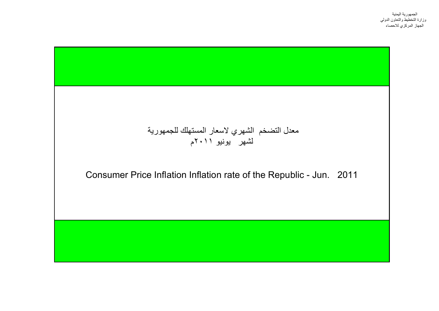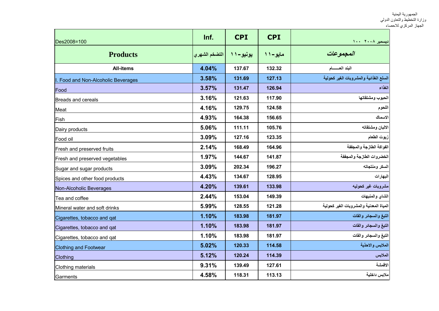| Des2008=100                      | Inf.           | <b>CPI</b> | <b>CPI</b> | دیسمبر ۲۰۰۸ ۱۰۰                         |
|----------------------------------|----------------|------------|------------|-----------------------------------------|
| <b>Products</b>                  | التضخم الشهر ي | يونيو – ۱۱ | مايو- ۱۱   | المجموعات                               |
| <b>All-items</b>                 | 4.04%          | 137.67     | 132.32     | البند العسسام                           |
| Food and Non-Alcoholic Beverages | 3.58%          | 131.69     | 127.13     | السلع الغذائية والمشروبات الغير كحولية  |
| Food                             | 3.57%          | 131.47     | 126.94     | الغذاء                                  |
| Breads and cereals               | 3.16%          | 121.63     | 117.90     | الحبوب ومشتقاتها                        |
| Meat                             | 4.16%          | 129.75     | 124.58     | اللحوم                                  |
| Fish                             | 4.93%          | 164.38     | 156.65     | الاسماك                                 |
| Dairy products                   | 5.06%          | 111.11     | 105.76     | الالبان ومشتقاته                        |
| Food oil                         | 3.09%          | 127.16     | 123.35     | زيوت الطعام                             |
| Fresh and preserved fruits       | 2.14%          | 168.49     | 164.96     | الفواكة الطازجة والمجففة                |
| Fresh and preserved vegetables   | 1.97%          | 144.67     | 141.87     | الخضروات الطازجة والمجففة               |
| Sugar and sugar products         | 3.09%          | 202.34     | 196.27     | السكر ومنتجاته                          |
| Spices and other food products   | 4.43%          | 134.67     | 128.95     | البهارات                                |
| Non-Alcoholic Beverages          | 4.20%          | 139.61     | 133.98     | مشروبات غير كحوليه                      |
| Tea and coffee                   | 2.44%          | 153.04     | 149.39     | الشاي والمنبهات                         |
| Mineral water and soft drinks    | 5.99%          | 128.55     | 121.28     | المياة المعدنية والمشروبات الغير كحولية |
| Cigarettes, tobacco and qat      | 1.10%          | 183.98     | 181.97     | التبغ والسجائر والقات                   |
| Cigarettes, tobacco and qat      | 1.10%          | 183.98     | 181.97     | التبغ والسجائر والقات                   |
| Cigarettes, tobacco and qat      | 1.10%          | 183.98     | 181.97     | التبغ والسجائر والقات                   |
| <b>Clothing and Footwear</b>     | 5.02%          | 120.33     | 114.58     | الملابس والاحذية                        |
| Clothing                         | 5.12%          | 120.24     | 114.39     | الملابس                                 |
| Clothing materials               | 9.31%          | 139.49     | 127.61     | الاقمشة                                 |
| Garments                         | 4.58%          | 118.31     | 113.13     | ملابس داخلية                            |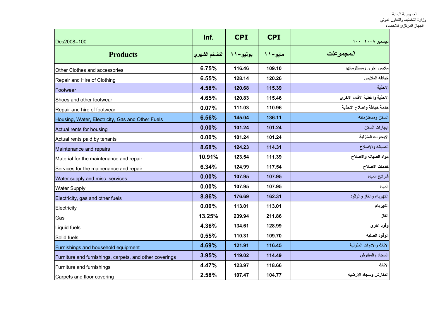| Des2008=100                                             | Inf.          | <b>CPI</b>  | <b>CPI</b> | ديسمبر ٢٠٠٨ ١٠٠               |
|---------------------------------------------------------|---------------|-------------|------------|-------------------------------|
| <b>Products</b>                                         | التضخم الشهري | یونیو – ۱ ۱ | مايو- ۱۱   | المجموعات                     |
| Other Clothes and accessories                           | 6.75%         | 116.46      | 109.10     | ملابس اخرى ومستلزماتها        |
| Repair and Hire of Clothing                             | 6.55%         | 128.14      | 120.26     | خياطة الملابس                 |
| Footwear                                                | 4.58%         | 120.68      | 115.39     | الاحذية                       |
| Shoes and other footwear                                | 4.65%         | 120.83      | 115.46     | الاحذية واغطية الاقدام الاخرى |
| Repair and hire of footwear                             | 0.07%         | 111.03      | 110.96     | خدمة خياطة واصلاح الاحذية     |
| Housing, Water, Electricity, Gas and Other Fuels        | 6.56%         | 145.04      | 136.11     | السكن ومستلزماته              |
| Actual rents for housing                                | 0.00%         | 101.24      | 101.24     | ايجارات السكن                 |
| Actual rents paid by tenants                            | 0.00%         | 101.24      | 101.24     | الايجارات المنزلية            |
| Maintenance and repairs                                 | 8.68%         | 124.23      | 114.31     | الصيانه والاصلاح              |
| Material for the maintenance and repair                 | 10.91%        | 123.54      | 111.39     | مواد الصيانه والاصلاح         |
| Services for the mainenance and repair                  | 6.34%         | 124.99      | 117.54     | خدمات الاصلاح                 |
| Water supply and misc. services                         | 0.00%         | 107.95      | 107.95     | شرائح المياه                  |
| <b>Water Supply</b>                                     | 0.00%         | 107.95      | 107.95     | المياه                        |
| Electricity, gas and other fuels                        | 8.86%         | 176.69      | 162.31     | الكهرباء والغاز والوقود       |
| Electricity                                             | 0.00%         | 113.01      | 113.01     | الكهرباء                      |
| Gas                                                     | 13.25%        | 239.94      | 211.86     | الغاز                         |
| Liquid fuels                                            | 4.36%         | 134.61      | 128.99     | وقود اخرى                     |
| Solid fuels                                             | 0.55%         | 110.31      | 109.70     | الوقود الصلبه                 |
| Furnishings and household equipment                     | 4.69%         | 121.91      | 116.45     | الاثاث والادوات المنزلية      |
| Furniture and furnishings, carpets, and other coverings | 3.95%         | 119.02      | 114.49     | السجاد والمفارش               |
| Furniture and furnishings                               | 4.47%         | 123.97      | 118.66     | الاثاث                        |
| Carpets and floor covering                              | 2.58%         | 107.47      | 104.77     | المفارش وسجاد الارضيه         |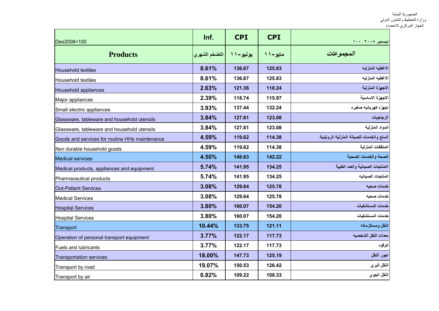| Des2008=100                                    | Inf.          | <b>CPI</b> | <b>CPI</b> | ديسمبر ٢٠٠٨ ١٠٠                           |
|------------------------------------------------|---------------|------------|------------|-------------------------------------------|
| <b>Products</b>                                | التضخم الشهري | یونیو-۱۱   | مايو-۱۱    | المجموعات                                 |
| <b>Household textiles</b>                      | 8.61%         | 136.67     | 125.83     | الاغطيه المنزليه                          |
| Household textiles                             | 8.61%         | 136.67     | 125.83     | الاغطيه المنزليه                          |
| Household appliances                           | 2.63%         | 121.36     | 118.24     | الاجهزة المنزلية                          |
| Major appliances                               | 2.39%         | 118.74     | 115.97     | الاجهزة الاساسية                          |
| Small electric appliances                      | 3.93%         | 137.44     | 132.24     | اجهزه كهربائيه صغيره                      |
| Glassware, tableware and household utensils    | 3.84%         | 127.81     | 123.08     | الزجاجيات                                 |
| Glassware, tableware and household utensils    | 3.84%         | 127.81     | 123.08     | المواد المنزلية                           |
| Goods and services for routine HHs maintenance | 4.59%         | 119.62     | 114.38     | السلع والخدمات للصيانة المنزلية الروتينية |
| Non durable household goods                    | 4.59%         | 119.62     | 114.38     | المنظفات المنزلية                         |
| <b>Medical services</b>                        | 4.50%         | 148.63     | 142.22     | الصحة والخدمات الصحية                     |
| Medical products, appliances and equipment     | 5.74%         | 141.95     | 134.25     | االمنتجات الصيدلية والعدد الطبية          |
| Pharmaceutical products                        | 5.74%         | 141.95     | 134.25     | المنتجات الصيدليه                         |
| <b>Out-Patient Services</b>                    | 3.08%         | 129.64     | 125.78     | خدمات صحيه                                |
| <b>Medical Services</b>                        | 3.08%         | 129.64     | 125.78     | خدمات صحيه                                |
| <b>Hospital Services</b>                       | 3.80%         | 160.07     | 154.20     | خدمات المستشفيات                          |
| <b>Hospital Services</b>                       | 3.80%         | 160.07     | 154.20     | خدمات المستشفيات                          |
| Transport                                      | 10.44%        | 133.75     | 121.11     | النقل ومستلزماته                          |
| Operation of personal transport equipment      | 3.77%         | 122.17     | 117.73     | معدات النقل الشخصيه                       |
| <b>Fuels and lubricants</b>                    | 3.77%         | 122.17     | 117.73     | الوقود                                    |
| Transportation services                        | 18.00%        | 147.73     | 125.19     | اجور النقل                                |
| Transport by road                              | 19.07%        | 150.53     | 126.42     | النقل البري                               |
| Transport by air                               | 0.82%         | 109.22     | 108.33     | النقل الجوي                               |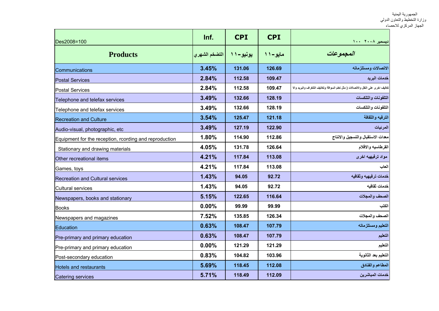| Des2008=100                                            | Inf.          | <b>CPI</b> | <b>CPI</b> | دیسمبر ۲۰۰۸ ۱۰۰                                                                   |
|--------------------------------------------------------|---------------|------------|------------|-----------------------------------------------------------------------------------|
| <b>Products</b>                                        | التضخم الشهري | يونيو-١١   | مايو-11    | المجموعات                                                                         |
| Communications                                         | 3.45%         | 131.06     | 126.69     | الاتصالات ومستلزماته                                                              |
| <b>Postal Services</b>                                 | 2.84%         | 112.58     | 109.47     | خدمات البريد                                                                      |
| <b>Postal Services</b>                                 | 2.84%         | 112.58     | 109.47     | تكاليف اخرى على النقل والاتصالات ( مثل تعلم السوافة وتكاليف التلغراف والبريد والا |
| Telephone and telefax services                         | 3.49%         | 132.66     | 128.19     | التلفونات والتلكسات                                                               |
| Telephone and telefax services                         | 3.49%         | 132.66     | 128.19     | التلفونات والتلكسات                                                               |
| <b>Recreation and Culture</b>                          | 3.54%         | 125.47     | 121.18     | الترفيه والثقافة                                                                  |
| Audio-visual, photographic, etc                        | 3.49%         | 127.19     | 122.90     | المرئيات                                                                          |
| Equipment for the reception, rcording and reproduction | 1.80%         | 114.90     | 112.86     | معدات الاستقبال والتسجيل والانتاج                                                 |
| Stationary and drawing materials                       | 4.05%         | 131.78     | 126.64     | القرطاسيه والاقلام                                                                |
| Other recreational items                               | 4.21%         | 117.84     | 113.08     | مواد ترفيهيه اخرى                                                                 |
| Games, toys                                            | 4.21%         | 117.84     | 113.08     | العاب                                                                             |
| Recreation and Cultural services                       | 1.43%         | 94.05      | 92.72      | خدمات ترفيهيه وثقافيه                                                             |
| Cultural services                                      | 1.43%         | 94.05      | 92.72      | خدمات ثقافيه                                                                      |
| Newspapers, books and stationary                       | 5.15%         | 122.65     | 116.64     | الصحف والمجلات                                                                    |
| Books                                                  | 0.00%         | 99.99      | 99.99      | الكتب                                                                             |
| Newspapers and magazines                               | 7.52%         | 135.85     | 126.34     | الصحف والمجلات                                                                    |
| Education                                              | 0.63%         | 108.47     | 107.79     | التعليم ومستلزماته                                                                |
| Pre-primary and primary education                      | 0.63%         | 108.47     | 107.79     | التعليم                                                                           |
| Pre-primary and primary education                      | 0.00%         | 121.29     | 121.29     | التعليم                                                                           |
| Post-secondary education                               | 0.83%         | 104.82     | 103.96     | التعليم بعد الثانوية                                                              |
| <b>Hotels and restaurants</b>                          | 5.69%         | 118.45     | 112.08     | المطاعم والفنادق                                                                  |
| <b>Catering services</b>                               | 5.71%         | 118.49     | 112.09     | خدمات المباشرين                                                                   |